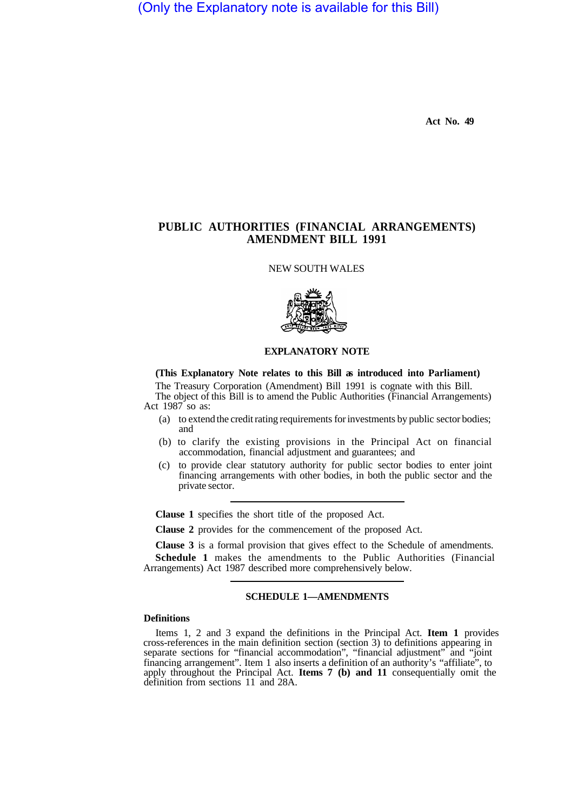(Only the Explanatory note is available for this Bill)

**Act No. 49** 

# **PUBLIC AUTHORITIES (FINANCIAL ARRANGEMENTS) AMENDMENT BILL 1991**

NEW SOUTH WALES



### **EXPLANATORY NOTE**

#### **(This Explanatory Note relates to this Bill as introduced into Parliament)**

The Treasury Corporation (Amendment) Bill 1991 is cognate with this Bill. The object of this Bill is to amend the Public Authorities (Financial Arrangements) Act 1987 so as:

- (a) to extend the credit rating requirements for investments by public sector bodies; and
- (b) to clarify the existing provisions in the Principal Act on financial accommodation, financial adjustment and guarantees; and
- (c) to provide clear statutory authority for public sector bodies to enter joint financing arrangements with other bodies, in both the public sector and the private sector.

**Clause 1** specifies the short title of the proposed Act.

**Clause 2** provides for the commencement of the proposed Act.

**Clause 3** is a formal provision that gives effect to the Schedule of amendments.

**Schedule 1** makes the amendments to the Public Authorities (Financial Arrangements) Act 1987 described more comprehensively below.

### **SCHEDULE 1—AMENDMENTS**

#### **Definitions**

Items 1,2 and 3 expand the definitions in the Principal Act. **Item 1** provides cross-references in the main definition section (section 3) to definitions appearing in separate sections for "financial accommodation", "financial adjustment" and "joint financing arrangement". Item 1 also inserts a definition of an authority's "affiliate", to apply throughout the Principal Act. **Items 7 (b) and 11** consequentially omit the definition from sections 11 and 28A.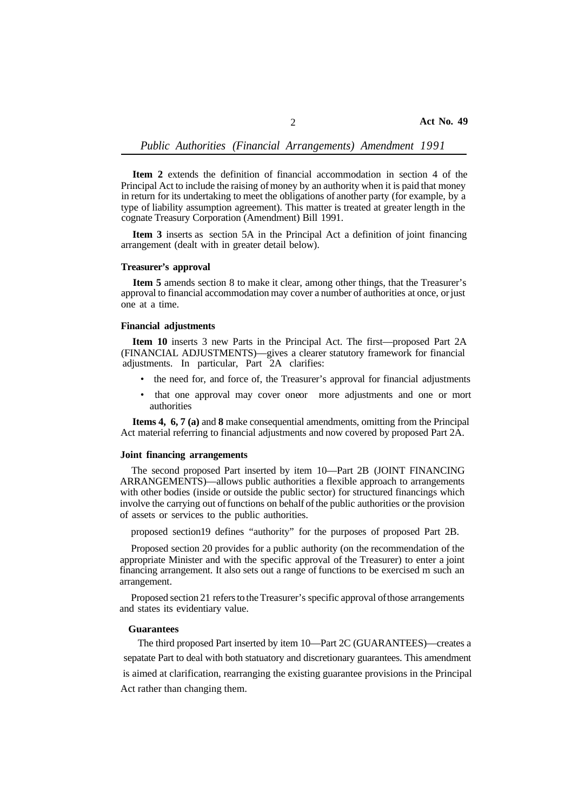**Item 2** extends the definition of financial accommodation in section 4 of the Principal Act to include the raising of money by an authority when it is paid that money in return for its undertaking to meet the obligations of another party (for example, by a type of liability assumption agreement). This matter is treated at greater length in the cognate Treasury Corporation (Amendment) Bill 1991.

**Item 3** inserts as section 5A in the Principal Act a definition of joint financing arrangement (dealt with in greater detail below).

### **Treasurer's approval**

**Item 5** amends section 8 to make it clear, among other things, that the Treasurer's approval to financial accommodation may cover a number of authorities at once, or just one at a time.

### **Financial adjustments**

**Item 10** inserts 3 new Parts in the Principal Act. The first—proposed Part 2A (FINANCIAL ADJUSTMENTS)—gives a clearer statutory framework for financial adjustments. In particular, Part 2A clarifies:

- the need for, and force of, the Treasurer's approval for financial adjustments
- that one approval may cover one or more adjustments and one or mort authorities

**Items 4, 6, 7 (a)** and **8** make consequential amendments, omitting from the Principal Act material referring to financial adjustments and now covered by proposed Part 2A.

### **Joint financing arrangements**

The second proposed Part inserted by item 10—Part 2B (JOINT FINANCING ARRANGEMENTS)—allows public authorities a flexible approach to arrangements with other bodies (inside or outside the public sector) for structured financings which involve the carrying out of functions on behalf of the public authorities or the provision of assets or services to the public authorities.

proposed section 19 defines "authority" for the purposes of proposed Part 2B.

Proposed section 20 provides for a public authority (on the recommendation of the appropriate Minister and with the specific approval of the Treasurer) to enter a joint financing arrangement. It also sets out a range of functions to be exercised m such an arrangement.

and states its evidentiary value. Proposed section 21 refers to the Treasurer's specific approval of those arrangements

## **Guarantees**

The third proposed Part inserted by item 10—Part 2C (GUARANTEES)—creates a sepatate Part to deal with both statuatory and discretionary guarantees. This amendment is aimed at clarification, rearranging the existing guarantee provisions in the Principal Act rather than changing them.